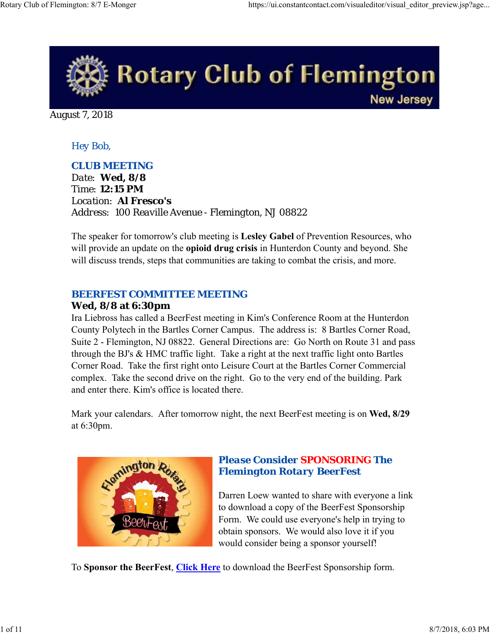

August 7, 2018

# *Hey Bob,*

## *CLUB MEETING*

*Date: Wed, 8/8 Time: 12:15 PM Location: Al Fresco's Address: 100 Reaville Avenue - Flemington, NJ 08822*

The speaker for tomorrow's club meeting is **Lesley Gabel** of Prevention Resources, who will provide an update on the **opioid drug crisis** in Hunterdon County and beyond. She will discuss trends, steps that communities are taking to combat the crisis, and more.

## *BEERFEST COMMITTEE MEETING*

### **Wed, 8/8 at 6:30pm**

Ira Liebross has called a BeerFest meeting in Kim's Conference Room at the Hunterdon County Polytech in the Bartles Corner Campus. The address is: 8 Bartles Corner Road, Suite 2 - Flemington, NJ 08822. General Directions are: Go North on Route 31 and pass through the BJ's & HMC traffic light. Take a right at the next traffic light onto Bartles Corner Road. Take the first right onto Leisure Court at the Bartles Corner Commercial complex. Take the second drive on the right. Go to the very end of the building. Park and enter there. Kim's office is located there.

Mark your calendars. After tomorrow night, the next BeerFest meeting is on **Wed, 8/29** at 6:30pm.



# *Please Consider SPONSORING The Flemington Rotary BeerFest*

Darren Loew wanted to share with everyone a link to download a copy of the BeerFest Sponsorship Form. We could use everyone's help in trying to obtain sponsors. We would also love it if you would consider being a sponsor yourself!

To **Sponsor the BeerFest**, **Click Here** to download the BeerFest Sponsorship form.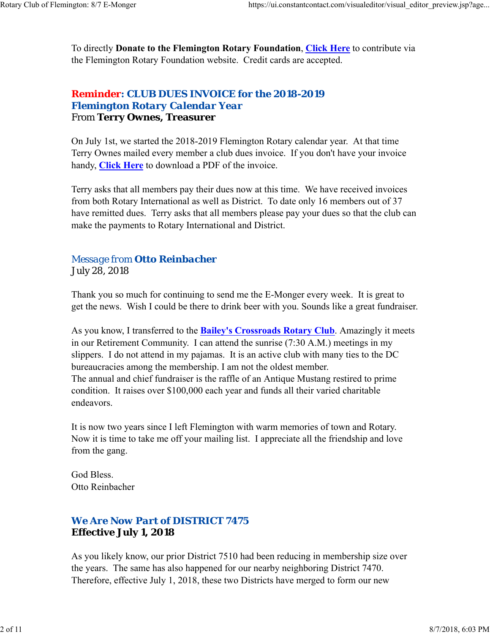To directly **Donate to the Flemington Rotary Foundation**, **Click Here** to contribute via the Flemington Rotary Foundation website. Credit cards are accepted.

# *Reminder: CLUB DUES INVOICE for the 2018-2019 Flemington Rotary Calendar Year* From **Terry Ownes, Treasurer**

On July 1st, we started the 2018-2019 Flemington Rotary calendar year. At that time Terry Ownes mailed every member a club dues invoice. If you don't have your invoice handy, **Click Here** to download a PDF of the invoice.

Terry asks that all members pay their dues now at this time. We have received invoices from both Rotary International as well as District. To date only 16 members out of 37 have remitted dues. Terry asks that all members please pay your dues so that the club can make the payments to Rotary International and District.

# *Message from Otto Reinbacher* July 28, 2018

Thank you so much for continuing to send me the E-Monger every week. It is great to get the news. Wish I could be there to drink beer with you. Sounds like a great fundraiser.

As you know, I transferred to the **Bailey's Crossroads Rotary Club**. Amazingly it meets in our Retirement Community. I can attend the sunrise (7:30 A.M.) meetings in my slippers. I do not attend in my pajamas. It is an active club with many ties to the DC bureaucracies among the membership. I am not the oldest member. The annual and chief fundraiser is the raffle of an Antique Mustang restired to prime condition. It raises over \$100,000 each year and funds all their varied charitable endeavors.

It is now two years since I left Flemington with warm memories of town and Rotary. Now it is time to take me off your mailing list. I appreciate all the friendship and love from the gang.

God Bless. Otto Reinbacher

# *We Are Now Part of DISTRICT 7475* **Effective July 1, 2018**

As you likely know, our prior District 7510 had been reducing in membership size over the years. The same has also happened for our nearby neighboring District 7470. Therefore, effective July 1, 2018, these two Districts have merged to form our new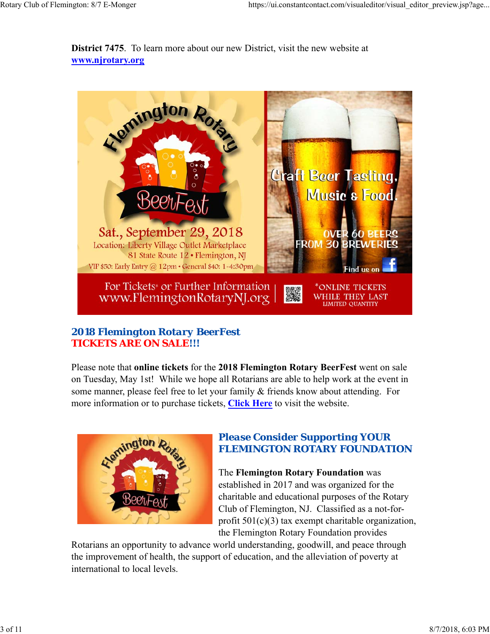**District 7475**. To learn more about our new District, visit the new website at **www.njrotary.org**



# *2018 Flemington Rotary BeerFest TICKETS ARE ON SALE!!!*

Please note that **online tickets** for the **2018 Flemington Rotary BeerFest** went on sale on Tuesday, May 1st! While we hope all Rotarians are able to help work at the event in some manner, please feel free to let your family & friends know about attending. For more information or to purchase tickets, **Click Here** to visit the website.



# *Please Consider Supporting YOUR FLEMINGTON ROTARY FOUNDATION*

The **Flemington Rotary Foundation** was established in 2017 and was organized for the charitable and educational purposes of the Rotary Club of Flemington, NJ. Classified as a not-forprofit 501(c)(3) tax exempt charitable organization, the Flemington Rotary Foundation provides

Rotarians an opportunity to advance world understanding, goodwill, and peace through the improvement of health, the support of education, and the alleviation of poverty at international to local levels.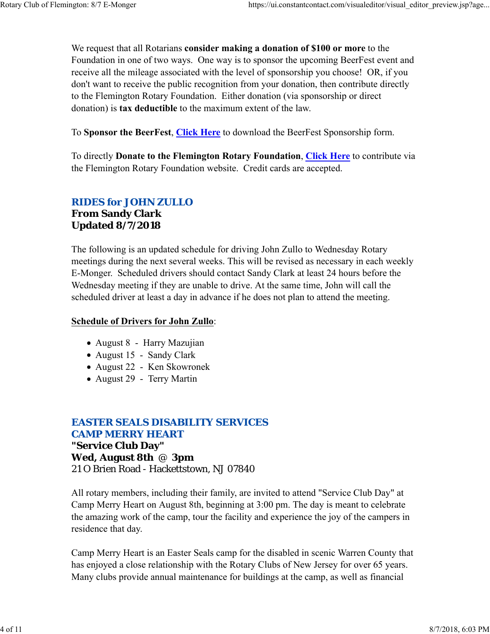We request that all Rotarians **consider making a donation of \$100 or more** to the Foundation in one of two ways. One way is to sponsor the upcoming BeerFest event and receive all the mileage associated with the level of sponsorship you choose! OR, if you don't want to receive the public recognition from your donation, then contribute directly to the Flemington Rotary Foundation. Either donation (via sponsorship or direct donation) is **tax deductible** to the maximum extent of the law.

To **Sponsor the BeerFest**, **Click Here** to download the BeerFest Sponsorship form.

To directly **Donate to the Flemington Rotary Foundation**, **Click Here** to contribute via the Flemington Rotary Foundation website. Credit cards are accepted.

# *RIDES for JOHN ZULLO* **From Sandy Clark Updated 8/7/2018**

The following is an updated schedule for driving John Zullo to Wednesday Rotary meetings during the next several weeks. This will be revised as necessary in each weekly E-Monger. Scheduled drivers should contact Sandy Clark at least 24 hours before the Wednesday meeting if they are unable to drive. At the same time, John will call the scheduled driver at least a day in advance if he does not plan to attend the meeting.

### **Schedule of Drivers for John Zullo**:

- August 8 Harry Mazujian
- August 15 Sandy Clark
- August 22 Ken Skowronek
- August 29 Terry Martin

# *EASTER SEALS DISABILITY SERVICES CAMP MERRY HEART* **"Service Club Day" Wed, August 8th** @ **3pm** 21 O Brien Road - Hackettstown, NJ 07840

All rotary members, including their family, are invited to attend "Service Club Day" at Camp Merry Heart on August 8th, beginning at 3:00 pm. The day is meant to celebrate the amazing work of the camp, tour the facility and experience the joy of the campers in residence that day.

Camp Merry Heart is an Easter Seals camp for the disabled in scenic Warren County that has enjoyed a close relationship with the Rotary Clubs of New Jersey for over 65 years. Many clubs provide annual maintenance for buildings at the camp, as well as financial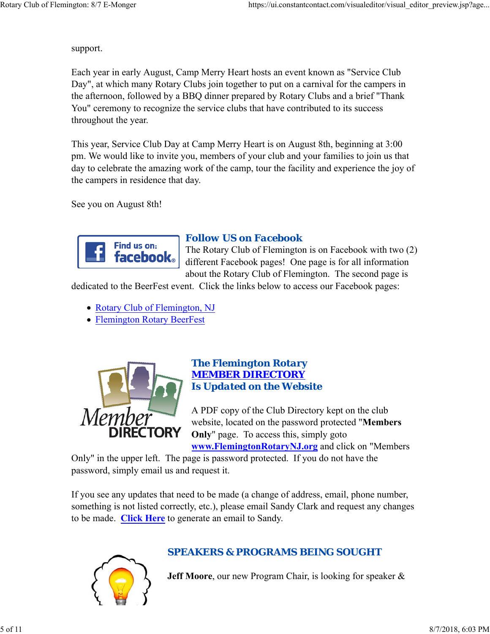support.

Each year in early August, Camp Merry Heart hosts an event known as "Service Club Day", at which many Rotary Clubs join together to put on a carnival for the campers in the afternoon, followed by a BBQ dinner prepared by Rotary Clubs and a brief "Thank You" ceremony to recognize the service clubs that have contributed to its success throughout the year.

This year, Service Club Day at Camp Merry Heart is on August 8th, beginning at 3:00 pm. We would like to invite you, members of your club and your families to join us that day to celebrate the amazing work of the camp, tour the facility and experience the joy of the campers in residence that day.

See you on August 8th!



## *Follow US on Facebook*

The Rotary Club of Flemington is on Facebook with two (2) different Facebook pages! One page is for all information about the Rotary Club of Flemington. The second page is

dedicated to the BeerFest event. Click the links below to access our Facebook pages:

- Rotary Club of Flemington, NJ
- Flemington Rotary BeerFest



#### *The Flemington Rotary MEMBER DIRECTORY Is Updated on the Website*

A PDF copy of the Club Directory kept on the club website, located on the password protected "**Members Only**" page. To access this, simply goto

**www.FlemingtonRotaryNJ.org** and click on "Members

Only" in the upper left. The page is password protected. If you do not have the password, simply email us and request it.

If you see any updates that need to be made (a change of address, email, phone number, something is not listed correctly, etc.), please email Sandy Clark and request any changes to be made. **Click Here** to generate an email to Sandy.



# *SPEAKERS & PROGRAMS BEING SOUGHT*

**Jeff Moore**, our new Program Chair, is looking for speaker &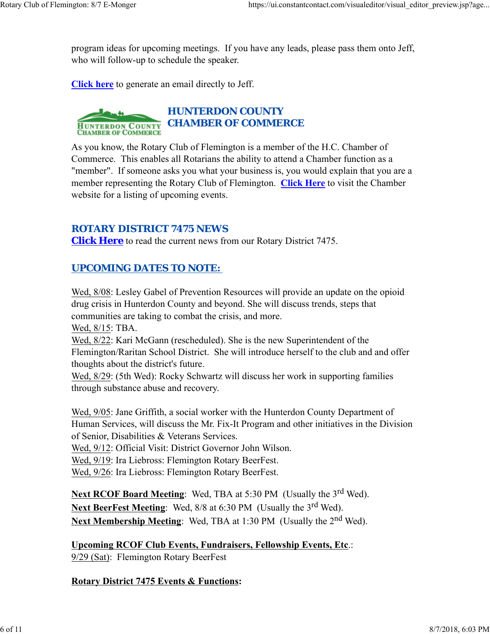program ideas for upcoming meetings. If you have any leads, please pass them onto Jeff, who will follow-up to schedule the speaker.

**Click here** to generate an email directly to Jeff.

#### *HUNTERDON COUNTY* **HUNTERDON COUNTY CHAMBER OF COMMERCE CHAMBER OF COMMERCE**

As you know, the Rotary Club of Flemington is a member of the H.C. Chamber of Commerce. This enables all Rotarians the ability to attend a Chamber function as a "member". If someone asks you what your business is, you would explain that you are a member representing the Rotary Club of Flemington. **Click Here** to visit the Chamber website for a listing of upcoming events.

# *ROTARY DISTRICT 7475 NEWS*

**Click Here** to read the current news from our Rotary District 7475.

# *UPCOMING DATES TO NOTE:*

Wed, 8/08: Lesley Gabel of Prevention Resources will provide an update on the opioid drug crisis in Hunterdon County and beyond. She will discuss trends, steps that communities are taking to combat the crisis, and more.

Wed, 8/15: TBA.

Wed, 8/22: Kari McGann (rescheduled). She is the new Superintendent of the Flemington/Raritan School District. She will introduce herself to the club and and offer thoughts about the district's future.

Wed, 8/29: (5th Wed): Rocky Schwartz will discuss her work in supporting families through substance abuse and recovery.

Wed, 9/05: Jane Griffith, a social worker with the Hunterdon County Department of Human Services, will discuss the Mr. Fix-It Program and other initiatives in the Division of Senior, Disabilities & Veterans Services.

Wed, 9/12: Official Visit: District Governor John Wilson.

Wed, 9/19: Ira Liebross: Flemington Rotary BeerFest.

Wed, 9/26: Ira Liebross: Flemington Rotary BeerFest.

**Next RCOF Board Meeting:** Wed, TBA at 5:30 PM (Usually the 3<sup>rd</sup> Wed). Next BeerFest Meeting: Wed, 8/8 at 6:30 PM (Usually the 3<sup>rd</sup> Wed). **Next Membership Meeting:** Wed, TBA at 1:30 PM (Usually the 2<sup>nd</sup> Wed).

**Upcoming RCOF Club Events, Fundraisers, Fellowship Events, Etc**.: 9/29 (Sat): Flemington Rotary BeerFest

## **Rotary District 7475 Events & Functions:**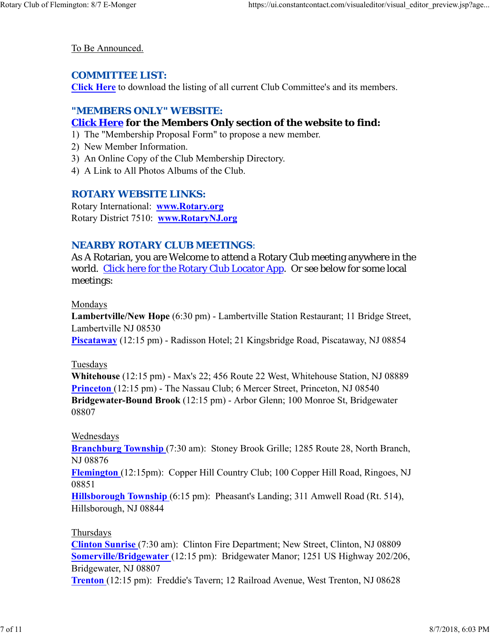To Be Announced.

### *COMMITTEE LIST:*

**Click Here** to download the listing of all current Club Committee's and its members.

### *"MEMBERS ONLY" WEBSITE:*

## **Click Here for the Members Only section of the website to find:**

- 1) The "Membership Proposal Form" to propose a new member.
- 2) New Member Information.
- 3) An Online Copy of the Club Membership Directory.
- 4) A Link to All Photos Albums of the Club.

## *ROTARY WEBSITE LINKS:*

Rotary International: **www.Rotary.org** Rotary District 7510: **www.RotaryNJ.org**

## *NEARBY ROTARY CLUB MEETINGS:*

As A Rotarian, you are Welcome to attend a Rotary Club meeting anywhere in the world. Click here for the Rotary Club Locator App. Or see below for some local meetings:

#### Mondays

**Lambertville/New Hope** (6:30 pm) - Lambertville Station Restaurant; 11 Bridge Street, Lambertville NJ 08530

**Piscataway** (12:15 pm) - Radisson Hotel; 21 Kingsbridge Road, Piscataway, NJ 08854

#### Tuesdays

**Whitehouse** (12:15 pm) - Max's 22; 456 Route 22 West, Whitehouse Station, NJ 08889 **Princeton** (12:15 pm) - The Nassau Club; 6 Mercer Street, Princeton, NJ 08540 **Bridgewater-Bound Brook** (12:15 pm) - Arbor Glenn; 100 Monroe St, Bridgewater 08807

#### Wednesdays

**Branchburg Township** (7:30 am): Stoney Brook Grille; 1285 Route 28, North Branch, NJ 08876

**Flemington** (12:15pm): Copper Hill Country Club; 100 Copper Hill Road, Ringoes, NJ 08851

**Hillsborough Township** (6:15 pm): Pheasant's Landing; 311 Amwell Road (Rt. 514), Hillsborough, NJ 08844

#### Thursdays

**Clinton Sunrise** (7:30 am): Clinton Fire Department; New Street, Clinton, NJ 08809 **Somerville/Bridgewater** (12:15 pm): Bridgewater Manor; 1251 US Highway 202/206, Bridgewater, NJ 08807

**Trenton** (12:15 pm): Freddie's Tavern; 12 Railroad Avenue, West Trenton, NJ 08628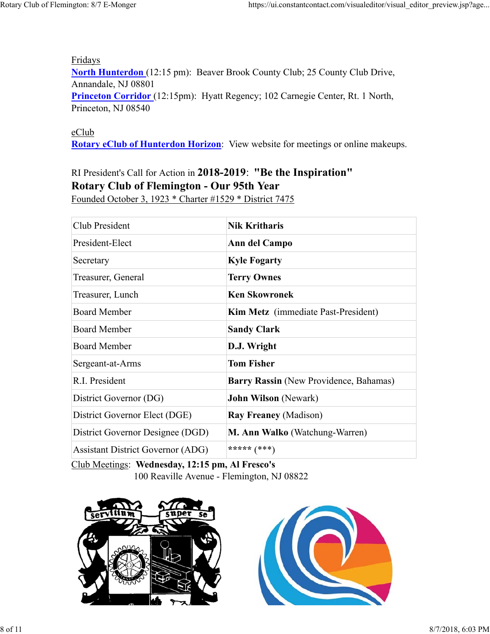Fridays **North Hunterdon** (12:15 pm): Beaver Brook County Club; 25 County Club Drive, Annandale, NJ 08801 Princeton Corridor (12:15pm): Hyatt Regency; 102 Carnegie Center, Rt. 1 North, Princeton, NJ 08540

#### eClub

**Rotary eClub of Hunterdon Horizon**: View website for meetings or online makeups.

# RI President's Call for Action in **2018-2019**: **"Be the Inspiration" Rotary Club of Flemington - Our 95th Year**

Founded October 3, 1923 \* Charter #1529 \* District 7475

| Club President                           | <b>Nik Kritharis</b>                       |  |
|------------------------------------------|--------------------------------------------|--|
| President-Elect                          | Ann del Campo                              |  |
| Secretary                                | <b>Kyle Fogarty</b>                        |  |
| Treasurer, General                       | <b>Terry Ownes</b>                         |  |
| Treasurer, Lunch                         | <b>Ken Skowronek</b>                       |  |
| <b>Board Member</b>                      | <b>Kim Metz</b> (immediate Past-President) |  |
| <b>Board Member</b>                      | <b>Sandy Clark</b>                         |  |
| <b>Board Member</b>                      | D.J. Wright                                |  |
| Sergeant-at-Arms                         | <b>Tom Fisher</b>                          |  |
| R.I. President                           | Barry Rassin (New Providence, Bahamas)     |  |
| District Governor (DG)                   | <b>John Wilson (Newark)</b>                |  |
| District Governor Elect (DGE)            | <b>Ray Freaney (Madison)</b>               |  |
| District Governor Designee (DGD)         | M. Ann Walko (Watchung-Warren)             |  |
| <b>Assistant District Governor (ADG)</b> | ***** (***)                                |  |

Club Meetings: **Wednesday, 12:15 pm, Al Fresco's** 100 Reaville Avenue - Flemington, NJ 08822



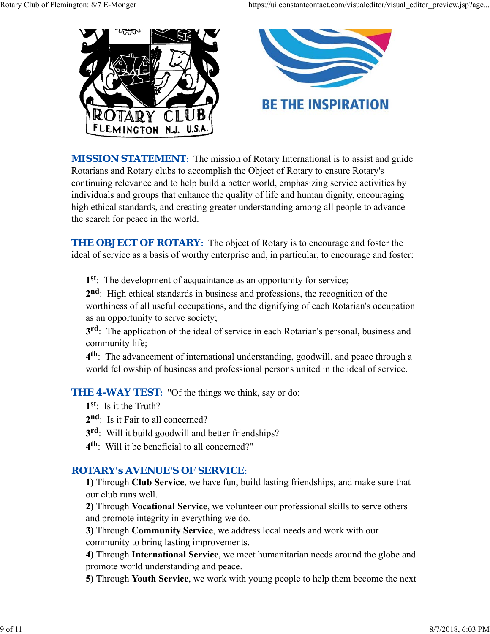

**MISSION STATEMENT:** The mission of Rotary International is to assist and guide Rotarians and Rotary clubs to accomplish the Object of Rotary to ensure Rotary's continuing relevance and to help build a better world, emphasizing service activities by individuals and groups that enhance the quality of life and human dignity, encouraging high ethical standards, and creating greater understanding among all people to advance the search for peace in the world.

**THE OBJECT OF ROTARY:** The object of Rotary is to encourage and foster the ideal of service as a basis of worthy enterprise and, in particular, to encourage and foster:

**1st**: The development of acquaintance as an opportunity for service;

**2nd**: High ethical standards in business and professions, the recognition of the worthiness of all useful occupations, and the dignifying of each Rotarian's occupation as an opportunity to serve society;

**3rd**: The application of the ideal of service in each Rotarian's personal, business and community life;

**4th**: The advancement of international understanding, goodwill, and peace through a world fellowship of business and professional persons united in the ideal of service.

**THE 4-WAY TEST:** "Of the things we think, say or do:

- **1st**: Is it the Truth?
- 2<sup>nd</sup>: Is it Fair to all concerned?
- **3rd**: Will it build goodwill and better friendships?
- **4th**: Will it be beneficial to all concerned?"

# *ROTARY's AVENUE'S OF SERVICE*:

**1)** Through **Club Service**, we have fun, build lasting friendships, and make sure that our club runs well.

**2)** Through **Vocational Service**, we volunteer our professional skills to serve others and promote integrity in everything we do.

**3)** Through **Community Service**, we address local needs and work with our community to bring lasting improvements.

**4)** Through **International Service**, we meet humanitarian needs around the globe and promote world understanding and peace.

**5)** Through **Youth Service**, we work with young people to help them become the next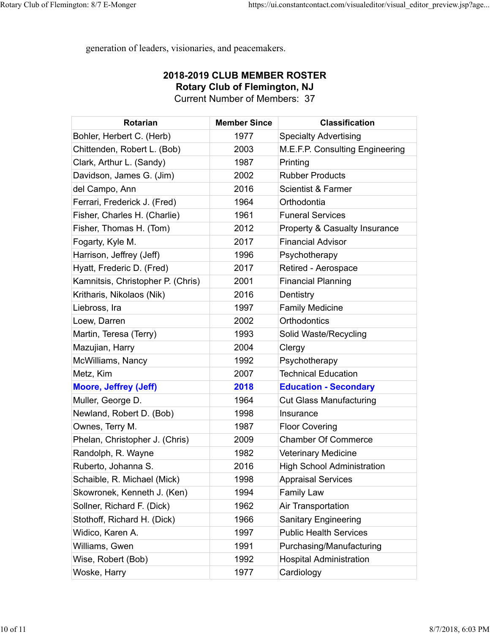generation of leaders, visionaries, and peacemakers.

#### **2018-2019 CLUB MEMBER ROSTER Rotary Club of Flemington, NJ** Current Number of Members: 37

**Rotarian Member Since Classification** Bohler, Herbert C. (Herb) 1977 Specialty Advertising Chittenden, Robert L. (Bob) 2003 M.E.F.P. Consulting Engineering Clark, Arthur L. (Sandy) 1987 Printing Davidson, James G. (Jim)  $\qquad \qquad$  2002 Rubber Products del Campo, Ann **2016** Scientist & Farmer Ferrari, Frederick J. (Fred) | 1964 | Orthodontia Fisher, Charles H. (Charlie) 1961 Funeral Services Fisher, Thomas H. (Tom)  $\qquad$  2012 Property & Casualty Insurance Fogarty, Kyle M. 2017 Financial Advisor Harrison, Jeffrey (Jeff) 1996 Psychotherapy Hyatt, Frederic D. (Fred) The 2017 Retired - Aerospace Kamnitsis, Christopher P. (Chris) | 2001 | Financial Planning Kritharis, Nikolaos (Nik) 2016 Dentistry Liebross, Ira **Network** 1997 Family Medicine Loew, Darren 2002 | Orthodontics Martin, Teresa (Terry)  $\overline{1993}$  Solid Waste/Recycling Mazujian, Harry **2004** Clergy McWilliams, Nancy **Nancy** 1992 Psychotherapy Metz, Kim 2007 Technical Education **Moore, Jeffrey (Jeff) 2018 Education - Secondary** Muller, George D. **1964** Cut Glass Manufacturing Newland, Robert D. (Bob) 1998 Insurance Ownes, Terry M. The Covering Covering Covering Covering Phelan, Christopher J. (Chris) | 2009 | Chamber Of Commerce Randolph, R. Wayne **1982** Veterinary Medicine Ruberto, Johanna S. **2016** High School Administration Schaible, R. Michael (Mick) | 1998 | Appraisal Services Skowronek, Kenneth J. (Ken) | 1994 Family Law Sollner, Richard F. (Dick) 1962 Air Transportation Stothoff, Richard H. (Dick) 1966 Sanitary Engineering Widico, Karen A. 1997 Public Health Services Williams, Gwen 1991 Purchasing/Manufacturing Wise, Robert (Bob) 1992 Hospital Administration Woske, Harry **Network** 1977 Cardiology